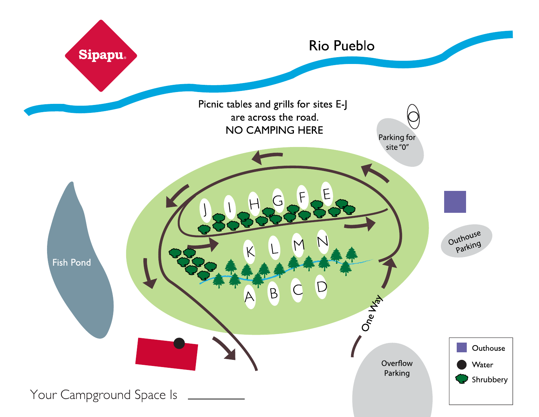